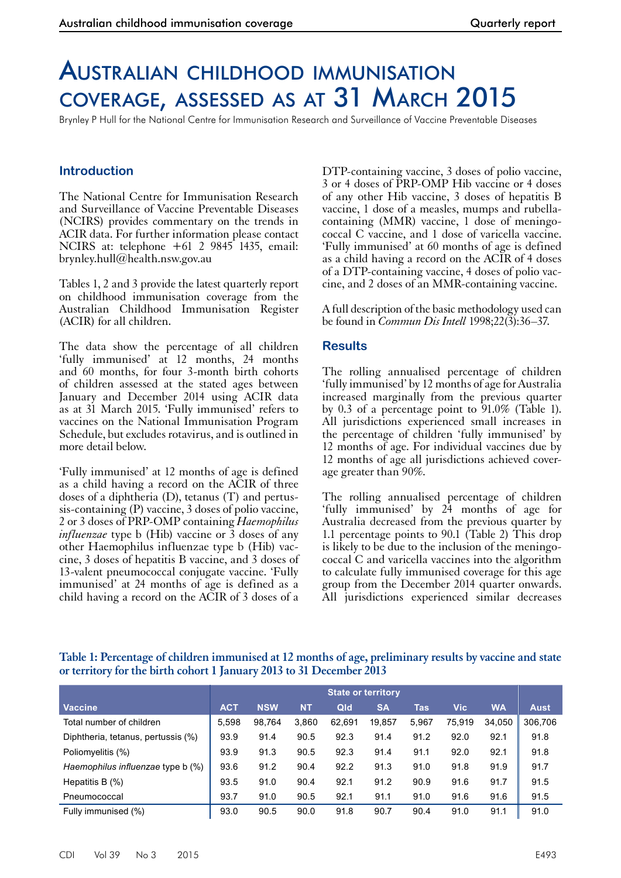# Australian childhood immunisation coverage, assessed as at 31 March 2015

Brynley P Hull for the National Centre for Immunisation Research and Surveillance of Vaccine Preventable Diseases

# **Introduction**

The National Centre for Immunisation Research and Surveillance of Vaccine Preventable Diseases (NCIRS) provides commentary on the trends in ACIR data. For further information please contact NCIRS at: telephone +61 2 9845 1435, email: brynley.hull@health.nsw.gov.au

Tables 1, 2 and 3 provide the latest quarterly report on childhood immunisation coverage from the Australian Childhood Immunisation Register (ACIR) for all children.

The data show the percentage of all children 'fully immunised' at 12 months, 24 months and 60 months, for four 3-month birth cohorts of children assessed at the stated ages between January and December 2014 using ACIR data as at 31 March 2015. 'Fully immunised' refers to vaccines on the National Immunisation Program Schedule, but excludes rotavirus, and is outlined in more detail below.

'Fully immunised' at 12 months of age is defined as a child having a record on the ACIR of three doses of a diphtheria (D), tetanus (T) and pertus-<br>sis-containing (P) vaccine, 3 doses of polio vaccine, 2 or 3 doses of PRP-OMP containing *Haemophilus influenzae* type b (Hib) vaccine or 3 doses of any other Haemophilus influenzae type b (Hib) vac- cine, 3 doses of hepatitis B vaccine, and 3 doses of 13-valent pneumococcal conjugate vaccine. 'Fully immunised' at 24 months of age is defined as a child having a record on the ACIR of 3 doses of a

DTP-containing vaccine, 3 doses of polio vaccine, 3 or 4 doses of PRP-OMP Hib vaccine or 4 doses of any other Hib vaccine, 3 doses of hepatitis B vaccine, 1 dose of a measles, mumps and rubellacontaining (MMR) vaccine, 1 dose of meningococcal C vaccine, and 1 dose of varicella vaccine. 'Fully immunised' at 60 months of age is defined as a child having a record on the ACIR of 4 doses of a DTP-containing vaccine, 4 doses of polio vaccine, and 2 doses of an MMR-containing vaccine.

A full description of the basic methodology used can be found in *Commun Dis Intell* 1998;22(3):36–37.

# **Results**

The rolling annualised percentage of children 'fully immunised' by 12 months of age for Australia increased marginally from the previous quarter by 0.3 of a percentage point to 91.0% (Table 1). All jurisdictions experienced small increases in the percentage of children 'fully immunised' by 12 months of age. For individual vaccines due by 12 months of age all jurisdictions achieved coverage greater than 90%.

The rolling annualised percentage of children 'fully immunised' by 24 months of age for Australia decreased from the previous quarter by 1.1 percentage points to 90.1 (Table 2) This drop is likely to be due to the inclusion of the meningo- coccal C and varicella vaccines into the algorithm to calculate fully immunised coverage for this age group from the December 2014 quarter onwards. All jurisdictions experienced similar decreases

# **Table 1: Percentage of children immunised at 12 months of age, preliminary results by vaccine and state or territory for the birth cohort 1 January 2013 to 31 December 2013**

|                                    | <b>State or territory</b> |            |           |        |           |            |            |           |             |
|------------------------------------|---------------------------|------------|-----------|--------|-----------|------------|------------|-----------|-------------|
| <b>Vaccine</b>                     | <b>ACT</b>                | <b>NSW</b> | <b>NT</b> | Qld    | <b>SA</b> | <b>Tas</b> | <b>Vic</b> | <b>WA</b> | <b>Aust</b> |
| Total number of children           | 5.598                     | 98.764     | 3.860     | 62.691 | 19,857    | 5,967      | 75,919     | 34,050    | 306,706     |
| Diphtheria, tetanus, pertussis (%) | 93.9                      | 91.4       | 90.5      | 92.3   | 91.4      | 91.2       | 92.0       | 92.1      | 91.8        |
| Poliomyelitis (%)                  | 93.9                      | 91.3       | 90.5      | 92.3   | 91.4      | 91.1       | 92.0       | 92.1      | 91.8        |
| Haemophilus influenzae type b (%)  | 93.6                      | 91.2       | 90.4      | 92.2   | 91.3      | 91.0       | 91.8       | 91.9      | 91.7        |
| Hepatitis B $(\%)$                 | 93.5                      | 91.0       | 90.4      | 92.1   | 91.2      | 90.9       | 91.6       | 91.7      | 91.5        |
| Pneumococcal                       | 93.7                      | 91.0       | 90.5      | 92.1   | 91.1      | 91.0       | 91.6       | 91.6      | 91.5        |
| Fully immunised (%)                | 93.0                      | 90.5       | 90.0      | 91.8   | 90.7      | 90.4       | 91.0       | 91.1      | 91.0        |